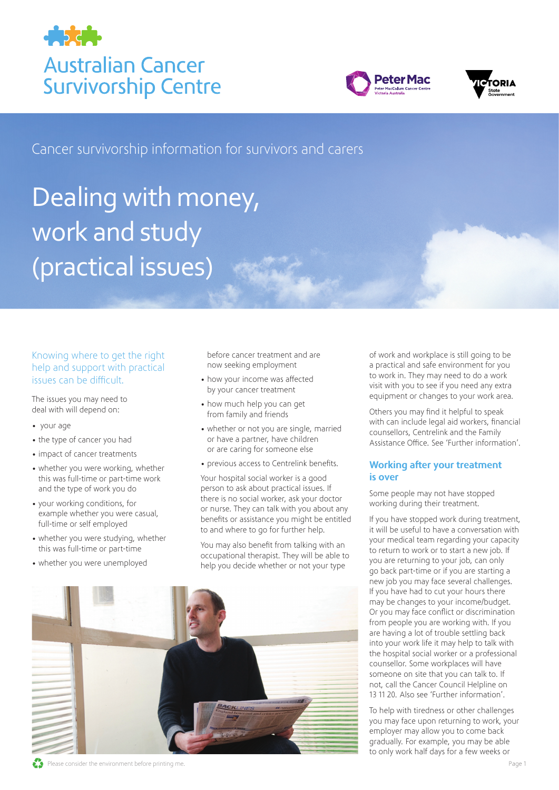





Cancer survivorship information for survivors and carers

# Dealing with money, work and study (practical issues)

# Knowing where to get the right help and support with practical issues can be difficult.

The issues you may need to deal with will depend on:

- your age
- the type of cancer you had
- impact of cancer treatments
- whether you were working, whether this was full-time or part-time work and the type of work you do
- your working conditions, for example whether you were casual, full-time or self employed
- whether you were studying, whether this was full-time or part-time
- whether you were unemployed

before cancer treatment and are now seeking employment

- how your income was affected by your cancer treatment
- how much help you can get from family and friends
- whether or not you are single, married or have a partner, have children or are caring for someone else
- previous access to Centrelink benefits.

Your hospital social worker is a good person to ask about practical issues. If there is no social worker, ask your doctor or nurse. They can talk with you about any benefits or assistance you might be entitled to and where to go for further help.

You may also benefit from talking with an occupational therapist. They will be able to help you decide whether or not your type

of work and workplace is still going to be a practical and safe environment for you to work in. They may need to do a work visit with you to see if you need any extra equipment or changes to your work area.

Others you may find it helpful to speak with can include legal aid workers, financial counsellors, Centrelink and the Family Assistance Office. See 'Further information'.

#### Working after your treatment is over

Some people may not have stopped working during their treatment.

If you have stopped work during treatment, it will be useful to have a conversation with your medical team regarding your capacity to return to work or to start a new job. If you are returning to your job, can only go back part-time or if you are starting a new job you may face several challenges. If you have had to cut your hours there may be changes to your income/budget. Or you may face conflict or discrimination from people you are working with. If you are having a lot of trouble settling back into your work life it may help to talk with the hospital social worker or a professional counsellor. Some workplaces will have someone on site that you can talk to. If not, call the Cancer Council Helpline on 13 11 20. Also see 'Further information'.

To help with tiredness or other challenges you may face upon returning to work, your employer may allow you to come back gradually. For example, you may be able to only work half days for a few weeks or